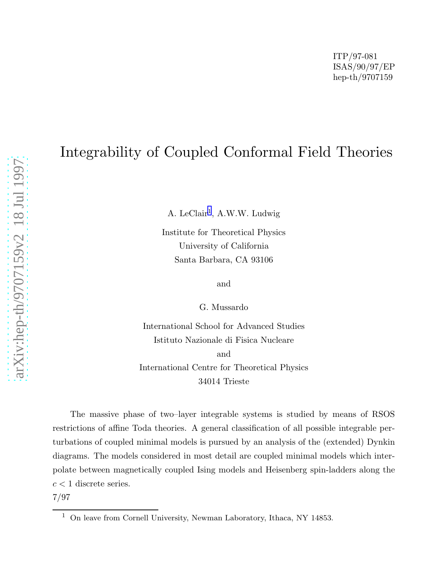# Integrability of Coupled Conformal Field Theories

A. LeClair 1 , A.W.W. Ludwig

Institute for Theoretical Physics University of California Santa Barbara, CA 93106

and

G. Mussardo

International School for Advanced Studies Istituto Nazionale di Fisica Nucleare and International Centre for Theoretical Physics 34014 Trieste

The massive phase of two–layer integrable systems is studied by means of RSOS restrictions of affine Toda theories. A general classification of all possible integrable perturbations of coupled minimal models is pursued by an analysis of the (extended) Dynkin diagrams. The models considered in most detail are coupled minimal models which interpolate between magnetically coupled Ising models and Heisenberg spin-ladders along the  $c < 1$  discrete series.

7/97

<sup>&</sup>lt;sup>1</sup> On leave from Cornell University, Newman Laboratory, Ithaca, NY 14853.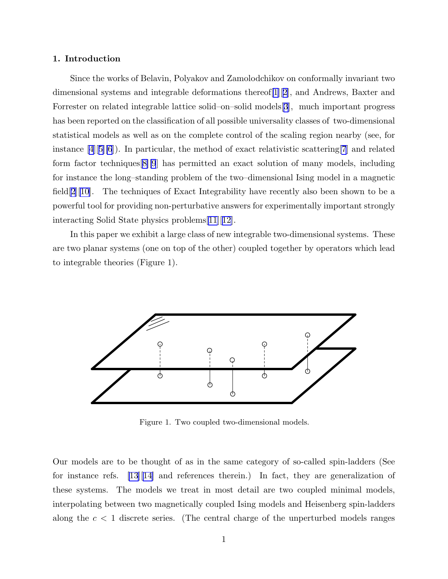### 1. Introduction

Since the works of Belavin, Polyakov and Zamolodchikov on conformally invariant two dimensional systems and integrable deformations thereof[[1](#page-21-0)][[2\]](#page-21-0), and Andrews, Baxter and Forrester on related integrable lattice solid–on–solid models[[3\]](#page-21-0), much important progress has been reported on the classification of all possible universality classes of two-dimensional statistical models as well as on the complete control of the scaling region nearby (see, for instance $[4][5][6]$  $[4][5][6]$  $[4][5][6]$  $[4][5][6]$  $[4][5][6]$ ). In particular, the method of exact relativistic scattering [\[7](#page-21-0)] and related form factor techniques[[8\]\[9](#page-21-0)] has permitted an exact solution of many models, including for instance the long–standing problem of the two–dimensional Ising model in a magnetic field  $[2][10]$  $[2][10]$  $[2][10]$ . The techniques of Exact Integrability have recently also been shown to be a powerful tool for providing non-perturbative answers for experimentally important strongly interacting Solid State physics problems[\[11](#page-21-0)][[12\]](#page-21-0).

In this paper we exhibit a large class of new integrable two-dimensional systems. These are two planar systems (one on top of the other) coupled together by operators which lead to integrable theories (Figure 1).



Figure 1. Two coupled two-dimensional models.

Our models are to be thought of as in the same category of so-called spin-ladders (See for instance refs. [\[13](#page-21-0)][[14\]](#page-21-0) and references therein.) In fact, they are generalization of these systems. The models we treat in most detail are two coupled minimal models, interpolating between two magnetically coupled Ising models and Heisenberg spin-ladders along the  $c < 1$  discrete series. (The central charge of the unperturbed models ranges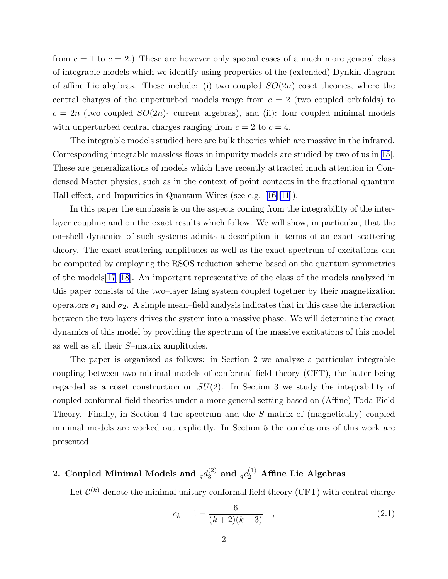<span id="page-2-0"></span>from  $c = 1$  to  $c = 2$ .) These are however only special cases of a much more general class of integrable models which we identify using properties of the (extended) Dynkin diagram of affine Lie algebras. These include: (i) two coupled  $SO(2n)$  coset theories, where the central charges of the unperturbed models range from  $c = 2$  (two coupled orbifolds) to  $c = 2n$  (two coupled  $SO(2n)_1$  current algebras), and (ii): four coupled minimal models with unperturbed central charges ranging from  $c = 2$  to  $c = 4$ .

The integrable models studied here are bulk theories which are massive in the infrared. Corresponding integrable massless flows in impurity models are studied by two of us in[\[15](#page-21-0)]. These are generalizations of models which have recently attracted much attention in Condensed Matter physics, such as in the context of point contacts in the fractional quantum Hall effect, and Impurities in Quantum Wires (see e.g.[[16\]\[11](#page-21-0)]).

In this paper the emphasis is on the aspects coming from the integrability of the interlayer coupling and on the exact results which follow. We will show, in particular, that the on–shell dynamics of such systems admits a description in terms of an exact scattering theory. The exact scattering amplitudes as well as the exact spectrum of excitations can be computed by employing the RSOS reduction scheme based on the quantum symmetries of the models[\[17](#page-21-0)][[18\]](#page-21-0). An important representative of the class of the models analyzed in this paper consists of the two–layer Ising system coupled together by their magnetization operators  $\sigma_1$  and  $\sigma_2$ . A simple mean–field analysis indicates that in this case the interaction between the two layers drives the system into a massive phase. We will determine the exact dynamics of this model by providing the spectrum of the massive excitations of this model as well as all their S–matrix amplitudes.

The paper is organized as follows: in Section 2 we analyze a particular integrable coupling between two minimal models of conformal field theory (CFT), the latter being regarded as a coset construction on  $SU(2)$ . In Section 3 we study the integrability of coupled conformal field theories under a more general setting based on (Affine) Toda Field Theory. Finally, in Section 4 the spectrum and the S-matrix of (magnetically) coupled minimal models are worked out explicitly. In Section 5 the conclusions of this work are presented.

# 2. Coupled Minimal Models and  $_{q}d_{3}^{(2)}$  and  $_{q}c_{2}^{(1)}$  Affine Lie Algebras

Let  $\mathcal{C}^{(k)}$  denote the minimal unitary conformal field theory (CFT) with central charge

$$
c_k = 1 - \frac{6}{(k+2)(k+3)}, \qquad (2.1)
$$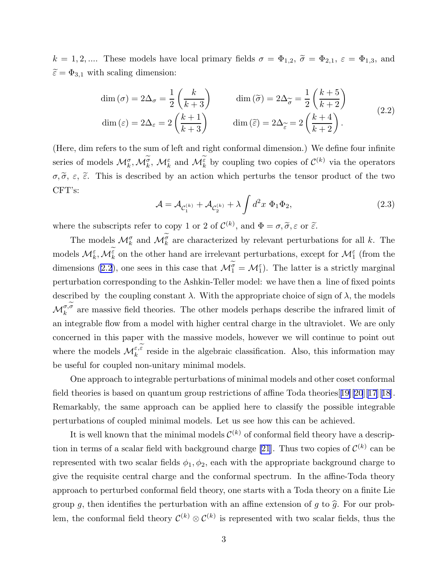<span id="page-3-0"></span> $k = 1, 2, \dots$  These models have local primary fields  $\sigma = \Phi_{1,2}$ ,  $\tilde{\sigma} = \Phi_{2,1}$ ,  $\varepsilon = \Phi_{1,3}$ , and  $\widetilde{\varepsilon} = \Phi_{3,1}$  with scaling dimension:

$$
\dim(\sigma) = 2\Delta_{\sigma} = \frac{1}{2} \left( \frac{k}{k+3} \right) \qquad \dim(\widetilde{\sigma}) = 2\Delta_{\widetilde{\sigma}} = \frac{1}{2} \left( \frac{k+5}{k+2} \right)
$$

$$
\dim(\widetilde{\varepsilon}) = 2\Delta_{\widetilde{\varepsilon}} = 2 \left( \frac{k+1}{k+3} \right) \qquad \dim(\widetilde{\varepsilon}) = 2\Delta_{\widetilde{\varepsilon}} = 2 \left( \frac{k+4}{k+2} \right). \tag{2.2}
$$

(Here, dim refers to the sum of left and right conformal dimension.) We define four infinite series of models  $\mathcal{M}_{k}^{\sigma}, \mathcal{M}_{k}^{\sigma}, \mathcal{M}_{k}^{\varepsilon}$  and  $\mathcal{M}_{k}^{\varepsilon}$  by coupling two copies of  $\mathcal{C}^{(k)}$  via the operators  $\sigma, \tilde{\sigma}, \varepsilon, \tilde{\varepsilon}$ . This is described by an action which perturbs the tensor product of the two CFT's:

$$
\mathcal{A} = \mathcal{A}_{\mathcal{C}_1^{(k)}} + \mathcal{A}_{\mathcal{C}_2^{(k)}} + \lambda \int d^2x \ \Phi_1 \Phi_2,\tag{2.3}
$$

where the subscripts refer to copy 1 or 2 of  $\mathcal{C}^{(k)}$ , and  $\Phi = \sigma, \tilde{\sigma}, \varepsilon$  or  $\tilde{\varepsilon}$ .

The models  $\mathcal{M}_k^{\sigma}$  and  $\mathcal{M}_k^{\sigma}$  are characterized by relevant perturbations for all k. The models  $\mathcal{M}_k^{\varepsilon}, \mathcal{M}_k^{\varepsilon}$  on the other hand are irrelevant perturbations, except for  $\mathcal{M}_1^{\varepsilon}$  (from the dimensions (2.2), one sees in this case that  $\mathcal{M}_{1}^{\sigma} = \mathcal{M}_{1}^{\varepsilon}$ ). The latter is a strictly marginal perturbation corresponding to the Ashkin-Teller model: we have then a line of fixed points described by the coupling constant  $\lambda$ . With the appropriate choice of sign of  $\lambda$ , the models  $\mathcal{M}_k^{\sigma,\sigma}$  are massive field theories. The other models perhaps describe the infrared limit of an integrable flow from a model with higher central charge in the ultraviolet. We are only concerned in this paper with the massive models, however we will continue to point out where the models  $\mathcal{M}_k^{\varepsilon,\varepsilon}$  reside in the algebraic classification. Also, this information may be useful for coupled non-unitary minimal models.

One approach to integrable perturbations of minimal models and other coset conformal field theories is based on quantum group restrictions of affine Toda theories[[19\]\[20](#page-21-0)][[17](#page-21-0)][[18\]](#page-21-0). Remarkably, the same approach can be applied here to classify the possible integrable perturbations of coupled minimal models. Let us see how this can be achieved.

It is well known that the minimal models  $\mathcal{C}^{(k)}$  of conformal field theory have a descrip-tion in terms of a scalar field with background charge [\[21](#page-21-0)]. Thus two copies of  $\mathcal{C}^{(k)}$  can be represented with two scalar fields  $\phi_1, \phi_2$ , each with the appropriate background charge to give the requisite central charge and the conformal spectrum. In the affine-Toda theory approach to perturbed conformal field theory, one starts with a Toda theory on a finite Lie group g, then identifies the perturbation with an affine extension of g to  $\hat{g}$ . For our problem, the conformal field theory  $\mathcal{C}^{(k)} \otimes \mathcal{C}^{(k)}$  is represented with two scalar fields, thus the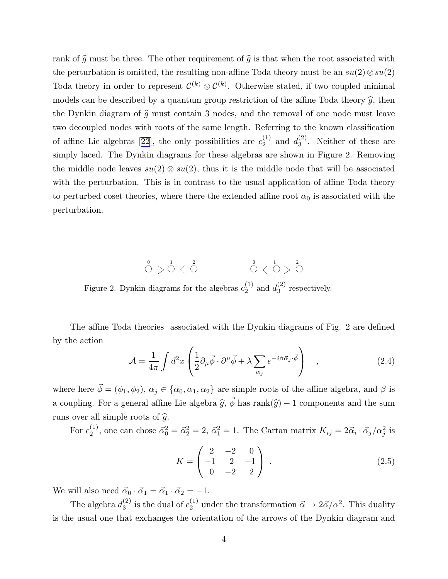rank of  $\hat{g}$  must be three. The other requirement of  $\hat{g}$  is that when the root associated with the perturbation is omitted, the resulting non-affine Toda theory must be an  $su(2) \otimes su(2)$ Toda theory in order to represent  $\mathcal{C}^{(k)} \otimes \mathcal{C}^{(k)}$ . Otherwise stated, if two coupled minimal models can be described by a quantum group restriction of the affine Toda theory  $\hat{g}$ , then the Dynkin diagram of  $\hat{q}$  must contain 3 nodes, and the removal of one node must leave two decoupled nodes with roots of the same length. Referring to the known classification ofaffine Lie algebras [[22\]](#page-21-0), the only possibilities are  $c_2^{(1)}$  $_2^{(1)}$  and  $d_3^{(2)}$  $3^{\binom{2}{3}}$ . Neither of these are simply laced. The Dynkin diagrams for these algebras are shown in Figure 2. Removing the middle node leaves  $su(2) \otimes su(2)$ , thus it is the middle node that will be associated with the perturbation. This is in contrast to the usual application of affine Toda theory to perturbed coset theories, where there the extended affine root  $\alpha_0$  is associated with the perturbation.



Figure 2. Dynkin diagrams for the algebras  $c_2^{(1)}$  $_2^{(1)}$  and  $d_3^{(2)}$  $3^{(2)}$  respectively.

The affine Toda theories associated with the Dynkin diagrams of Fig. 2 are defined by the action

$$
\mathcal{A} = \frac{1}{4\pi} \int d^2x \left( \frac{1}{2} \partial_\mu \vec{\phi} \cdot \partial^\mu \vec{\phi} + \lambda \sum_{\alpha_j} e^{-i\beta \vec{\alpha}_j \cdot \vec{\phi}} \right) , \qquad (2.4)
$$

where here  $\vec{\phi} = (\phi_1, \phi_2), \alpha_j \in \{\alpha_0, \alpha_1, \alpha_2\}$  are simple roots of the affine algebra, and  $\beta$  is a coupling. For a general affine Lie algebra  $\hat{g}, \vec{\phi}$  has rank $(\hat{g}) - 1$  components and the sum runs over all simple roots of  $\hat{g}$ .

For  $c_2^{(1)}$ <sup>(1)</sup>, one can chose  $\vec{\alpha}_0^2 = \vec{\alpha}_2^2 = 2$ ,  $\vec{\alpha}_1^2 = 1$ . The Cartan matrix  $K_{ij} = 2\vec{\alpha}_i \cdot \vec{\alpha}_j / \alpha_j^2$  is

$$
K = \begin{pmatrix} 2 & -2 & 0 \\ -1 & 2 & -1 \\ 0 & -2 & 2 \end{pmatrix} . \tag{2.5}
$$

We will also need  $\vec{\alpha}_0 \cdot \vec{\alpha}_1 = \vec{\alpha}_1 \cdot \vec{\alpha}_2 = -1.$ 

The algebra  $d_3^{(2)}$ <sup>(2)</sup> is the dual of  $c_2^{(1)}$  under the transformation  $\vec{\alpha} \to 2\vec{\alpha}/\alpha^2$ . This duality is the usual one that exchanges the orientation of the arrows of the Dynkin diagram and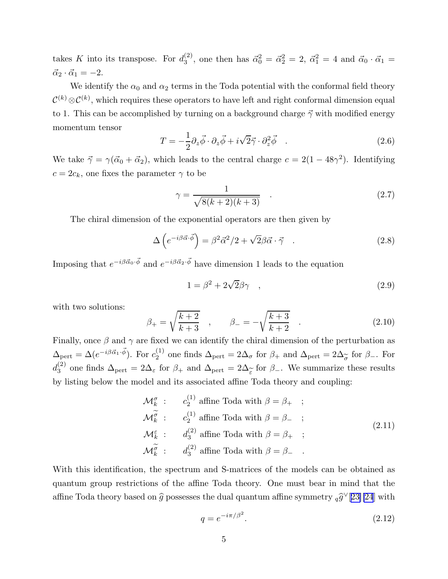<span id="page-5-0"></span>takes K into its transpose. For  $d_3^{(2)}$  $\alpha_3^{(2)}$ , one then has  $\vec{\alpha}_0^2 = \vec{\alpha}_2^2 = 2$ ,  $\vec{\alpha}_1^2 = 4$  and  $\vec{\alpha}_0 \cdot \vec{\alpha}_1 =$  $\vec{\alpha}_2 \cdot \vec{\alpha}_1 = -2.$ 

We identify the  $\alpha_0$  and  $\alpha_2$  terms in the Toda potential with the conformal field theory  $\mathcal{C}^{(k)}\otimes\mathcal{C}^{(k)}$ , which requires these operators to have left and right conformal dimension equal to 1. This can be accomplished by turning on a background charge  $\vec{\gamma}$  with modified energy momentum tensor

$$
T = -\frac{1}{2}\partial_z\vec{\phi}\cdot\partial_z\vec{\phi} + i\sqrt{2}\vec{\gamma}\cdot\partial_z^2\vec{\phi} \quad . \tag{2.6}
$$

We take  $\vec{\gamma} = \gamma(\vec{\alpha}_0 + \vec{\alpha}_2)$ , which leads to the central charge  $c = 2(1 - 48\gamma^2)$ . Identifying  $c = 2c_k$ , one fixes the parameter  $\gamma$  to be

$$
\gamma = \frac{1}{\sqrt{8(k+2)(k+3)}}.
$$
\n(2.7)

The chiral dimension of the exponential operators are then given by

$$
\Delta \left( e^{-i\beta \vec{\alpha} \cdot \vec{\phi}} \right) = \beta^2 \vec{\alpha}^2 / 2 + \sqrt{2} \beta \vec{\alpha} \cdot \vec{\gamma} \quad . \tag{2.8}
$$

Imposing that  $e^{-i\beta \vec{\alpha}_0 \cdot \vec{\phi}}$  and  $e^{-i\beta \vec{\alpha}_2 \cdot \vec{\phi}}$  have dimension 1 leads to the equation

$$
1 = \beta^2 + 2\sqrt{2}\beta\gamma \quad , \tag{2.9}
$$

with two solutions:

$$
\beta_{+} = \sqrt{\frac{k+2}{k+3}} \quad , \qquad \beta_{-} = -\sqrt{\frac{k+3}{k+2}} \quad . \tag{2.10}
$$

Finally, once  $\beta$  and  $\gamma$  are fixed we can identify the chiral dimension of the perturbation as  $\Delta_{\text{pert}} = \Delta(e^{-i\beta \vec{\alpha}_1 \cdot \vec{\phi}})$ . For  $c_2^{(1)}$ <sup>(1)</sup> one finds  $\Delta_{\text{pert}} = 2\Delta_{\sigma}$  for  $\beta_{+}$  and  $\Delta_{\text{pert}} = 2\Delta_{\widetilde{\sigma}}$  for  $\beta_{-}$ . For  $d_3^{(2)}$ <sup>(2)</sup> one finds  $\Delta_{\text{pert}} = 2\Delta_{\varepsilon}$  for  $\beta_+$  and  $\Delta_{\text{pert}} = 2\Delta_{\varepsilon}$  for  $\beta_-$ . We summarize these results by listing below the model and its associated affine Toda theory and coupling:

$$
\mathcal{M}_{k}^{\sigma} : c_{2}^{(1)} \text{ affine Toda with } \beta = \beta_{+} ;
$$
\n
$$
\mathcal{M}_{k}^{\widetilde{\sigma}} : c_{2}^{(1)} \text{ affine Toda with } \beta = \beta_{-} ;
$$
\n
$$
\mathcal{M}_{k}^{\varepsilon} : d_{3}^{(2)} \text{ affine Toda with } \beta = \beta_{+} ;
$$
\n
$$
\mathcal{M}_{k}^{\widetilde{\sigma}} : d_{3}^{(2)} \text{ affine Toda with } \beta = \beta_{-} .
$$
\n(2.11)

With this identification, the spectrum and S-matrices of the models can be obtained as quantum group restrictions of the affine Toda theory. One must bear in mind that the affine Toda theory based on  $\widehat{g}$  possesses the dual quantum affine symmetry  ${}_q\widehat{g}^\vee[23][24]$  ${}_q\widehat{g}^\vee[23][24]$  ${}_q\widehat{g}^\vee[23][24]$  with

$$
q = e^{-i\pi/\beta^2}.\tag{2.12}
$$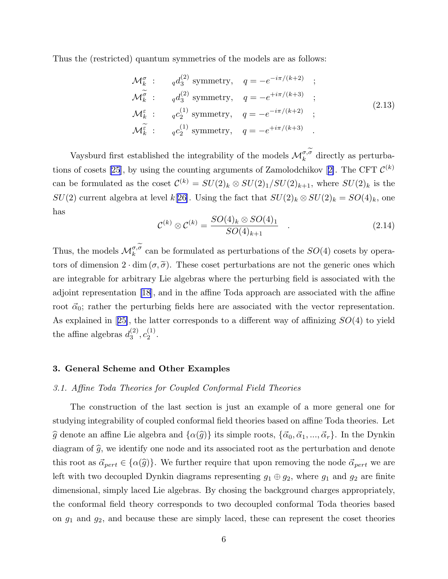<span id="page-6-0"></span>Thus the (restricted) quantum symmetries of the models are as follows:

$$
\mathcal{M}_{k}^{\sigma} : q d_{3}^{(2)} \text{ symmetry}, q = -e^{-i\pi/(k+2)} ;
$$
  
\n
$$
\mathcal{M}_{k}^{\widetilde{\sigma}} : q d_{3}^{(2)} \text{ symmetry}, q = -e^{+i\pi/(k+3)} ;
$$
  
\n
$$
\mathcal{M}_{k}^{\varepsilon} : q c_{2}^{(1)} \text{ symmetry}, q = -e^{-i\pi/(k+2)} ;
$$
  
\n
$$
\mathcal{M}_{k}^{\widetilde{\varepsilon}} : q c_{2}^{(1)} \text{ symmetry}, q = -e^{+i\pi/(k+3)} .
$$
\n(2.13)

Vaysburd first established the integrability of the models  $\mathcal{M}_k^{\sigma,\sigma}$  directly as perturba-tions of cosets [\[25](#page-21-0)],by using the counting arguments of Zamolodchikov [[2\]](#page-21-0). The CFT  $\mathcal{C}^{(k)}$ can be formulated as the coset  $\mathcal{C}^{(k)} = SU(2)_k \otimes SU(2)_1/SU(2)_{k+1}$ , where  $SU(2)_k$  is the  $SU(2)$  current algebra at level k[[26\]](#page-21-0). Using the fact that  $SU(2)_k \otimes SU(2)_k = SO(4)_k$ , one has

$$
\mathcal{C}^{(k)} \otimes \mathcal{C}^{(k)} = \frac{SO(4)_k \otimes SO(4)_1}{SO(4)_{k+1}} \quad . \tag{2.14}
$$

Thus, the models  $\mathcal{M}_k^{\sigma,\sigma}$  can be formulated as perturbations of the  $SO(4)$  cosets by operators of dimension  $2 \cdot \dim (\sigma, \tilde{\sigma})$ . These coset perturbations are not the generic ones which are integrable for arbitrary Lie algebras where the perturbing field is associated with the adjoint representation[[18\]](#page-21-0), and in the affine Toda approach are associated with the affine root  $\vec{\alpha}_0$ ; rather the perturbing fields here are associated with the vector representation. Asexplained in [[25\]](#page-21-0), the latter corresponds to a different way of affinizing  $SO(4)$  to yield the affine algebras  $d_3^{(2)}$  $\begin{smallmatrix} (2)\ 3 \end{smallmatrix},c_2^{(1)}$  $\frac{1}{2}$ .

### 3. General Scheme and Other Examples

### 3.1. Affine Toda Theories for Coupled Conformal Field Theories

The construction of the last section is just an example of a more general one for studying integrability of coupled conformal field theories based on affine Toda theories. Let  $\hat{g}$  denote an affine Lie algebra and  $\{\alpha(\hat{g})\}$  its simple roots,  $\{\vec{\alpha}_0, \vec{\alpha}_1, ..., \vec{\alpha}_r\}$ . In the Dynkin diagram of  $\hat{g}$ , we identify one node and its associated root as the perturbation and denote this root as  $\vec{\alpha}_{pert} \in {\alpha(\hat{g})}$ . We further require that upon removing the node  $\vec{\alpha}_{pert}$  we are left with two decoupled Dynkin diagrams representing  $g_1 \oplus g_2$ , where  $g_1$  and  $g_2$  are finite dimensional, simply laced Lie algebras. By chosing the background charges appropriately, the conformal field theory corresponds to two decoupled conformal Toda theories based on  $g_1$  and  $g_2$ , and because these are simply laced, these can represent the coset theories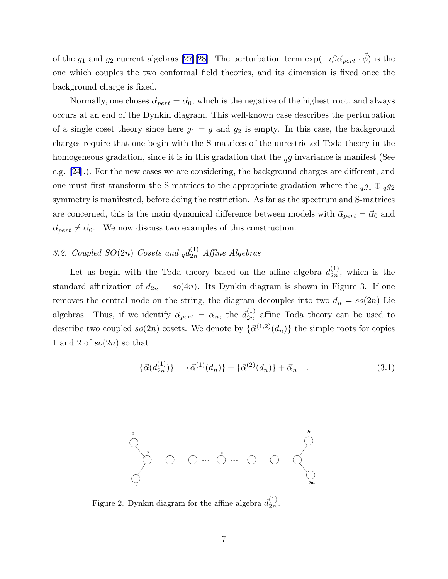of the  $g_1$  and  $g_2$  current algebras [\[27](#page-22-0)][[28](#page-22-0)]. The perturbation term  $\exp(-i\beta \vec{\alpha}_{pert} \cdot \vec{\phi})$  is the one which couples the two conformal field theories, and its dimension is fixed once the background charge is fixed.

Normally, one choses  $\vec{\alpha}_{pert} = \vec{\alpha}_0$ , which is the negative of the highest root, and always occurs at an end of the Dynkin diagram. This well-known case describes the perturbation of a single coset theory since here  $g_1 = g$  and  $g_2$  is empty. In this case, the background charges require that one begin with the S-matrices of the unrestricted Toda theory in the homogeneous gradation, since it is in this gradation that the  $_{q}g$  invariance is manifest (See e.g. [\[24](#page-21-0)].). For the new cases we are considering, the background charges are different, and one must first transform the S-matrices to the appropriate gradation where the  $_{q}g_{1}\oplus_{q}g_{2}$ symmetry is manifested, before doing the restriction. As far as the spectrum and S-matrices are concerned, this is the main dynamical difference between models with  $\vec{\alpha}_{pert} = \vec{\alpha}_0$  and  $\vec{\alpha}_{pert} \neq \vec{\alpha}_0$ . We now discuss two examples of this construction.

# 3.2. Coupled  $SO(2n)$  Cosets and  $_qd_{2n}^{(1)}$  Affine Algebras

Let us begin with the Toda theory based on the affine algebra  $d_{2n}^{(1)}$  $\binom{1}{2n}$ , which is the standard affinization of  $d_{2n} = so(4n)$ . Its Dynkin diagram is shown in Figure 3. If one removes the central node on the string, the diagram decouples into two  $d_n = so(2n)$  Lie algebras. Thus, if we identify  $\vec{\alpha}_{pert} = \vec{\alpha}_n$ , the  $d_{2n}^{(1)}$  $_{2n}^{(1)}$  affine Toda theory can be used to describe two coupled  $so(2n)$  cosets. We denote by  $\{\vec{\alpha}^{(1,2)}(d_n)\}\$  the simple roots for copies 1 and 2 of  $so(2n)$  so that

$$
\{\vec{\alpha}(d_{2n}^{(1)})\} = \{\vec{\alpha}^{(1)}(d_n)\} + \{\vec{\alpha}^{(2)}(d_n)\} + \vec{\alpha}_n \quad . \tag{3.1}
$$



Figure 2. Dynkin diagram for the affine algebra  $d_{2n}^{(1)}$  $\frac{(1)}{2n}$ .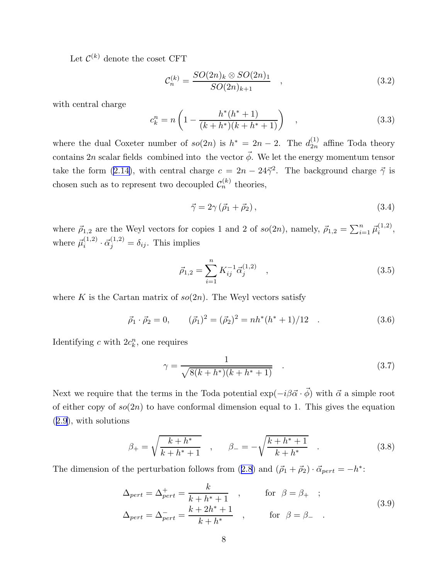Let  $\mathcal{C}^{(k)}$  denote the coset CFT

$$
\mathcal{C}_n^{(k)} = \frac{SO(2n)_k \otimes SO(2n)_1}{SO(2n)_{k+1}} \quad , \tag{3.2}
$$

with central charge

$$
c_k^n = n\left(1 - \frac{h^*(h^*+1)}{(k+h^*)(k+h^*+1)}\right) \quad , \tag{3.3}
$$

where the dual Coxeter number of  $so(2n)$  is  $h^* = 2n - 2$ . The  $d_{2n}^{(1)}$  $\binom{1}{2n}$  affine Toda theory contains 2n scalar fields combined into the vector  $\vec{\phi}$ . We let the energy momentum tensor take the form [\(2.14\)](#page-6-0), with central charge  $c = 2n - 24\vec{\gamma}^2$ . The background charge  $\vec{\gamma}$  is chosen such as to represent two decoupled  $\mathcal{C}_n^{(k)}$  theories,

$$
\vec{\gamma} = 2\gamma \left(\vec{\rho}_1 + \vec{\rho}_2\right),\tag{3.4}
$$

where  $\vec{\rho}_{1,2}$  are the Weyl vectors for copies 1 and 2 of  $so(2n)$ , namely,  $\vec{\rho}_{1,2} = \sum_{i=1}^{n} \vec{\mu}_{i}^{(1,2)}$  $\binom{1,2}{i}$ where  $\vec{\mu}_i^{(1,2)}$  $i^{(1,2)} \cdot \vec{\alpha}_j^{(1,2)} = \delta_{ij}$ . This implies

$$
\vec{\rho}_{1,2} = \sum_{i=1}^{n} K_{ij}^{-1} \vec{\alpha}_j^{(1,2)} \quad , \tag{3.5}
$$

where K is the Cartan matrix of  $so(2n)$ . The Weyl vectors satisfy

$$
\vec{\rho}_1 \cdot \vec{\rho}_2 = 0, \qquad (\vec{\rho}_1)^2 = (\vec{\rho}_2)^2 = nh^*(h^* + 1)/12 \quad . \tag{3.6}
$$

Identifying c with  $2c_k^n$ , one requires

$$
\gamma = \frac{1}{\sqrt{8(k+h^*)(k+h^*+1)}}\tag{3.7}
$$

Next we require that the terms in the Toda potential  $\exp(-i\beta \vec{\alpha}\cdot \vec{\phi})$  with  $\vec{\alpha}$  a simple root of either copy of  $so(2n)$  to have conformal dimension equal to 1. This gives the equation ([2.9](#page-5-0)), with solutions

$$
\beta_{+} = \sqrt{\frac{k+h^{*}}{k+h^{*}+1}} \quad , \qquad \beta_{-} = -\sqrt{\frac{k+h^{*}+1}{k+h^{*}}} \quad . \tag{3.8}
$$

Thedimension of the perturbation follows from  $(2.8)$  $(2.8)$  $(2.8)$  and  $(\vec{\rho}_1 + \vec{\rho}_2) \cdot \vec{\alpha}_{pert} = -h^*$ :

$$
\Delta_{pert} = \Delta_{pert}^{+} = \frac{k}{k + h^* + 1} , \qquad \text{for } \beta = \beta_+ ;
$$
  

$$
\Delta_{pert} = \Delta_{pert}^{-} = \frac{k + 2h^* + 1}{k + h^*} , \qquad \text{for } \beta = \beta_- .
$$
 (3.9)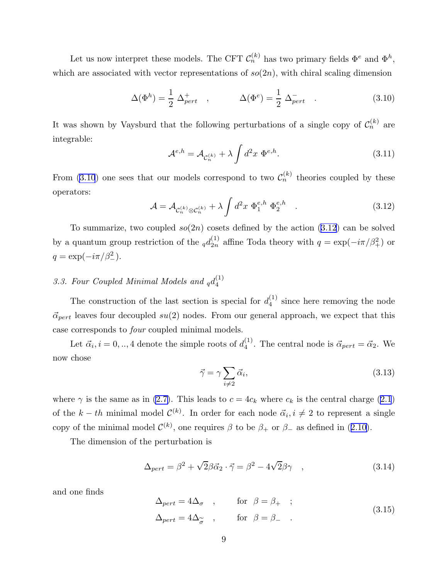Let us now interpret these models. The CFT  $\mathcal{C}_n^{(k)}$  has two primary fields  $\Phi^e$  and  $\Phi^h$ , which are associated with vector representations of  $so(2n)$ , with chiral scaling dimension

$$
\Delta(\Phi^h) = \frac{1}{2} \Delta_{pert}^+, \qquad \Delta(\Phi^e) = \frac{1}{2} \Delta_{pert}^-. \qquad (3.10)
$$

It was shown by Vaysburd that the following perturbations of a single copy of  $\mathcal{C}_n^{(k)}$  are integrable:

$$
\mathcal{A}^{e,h} = \mathcal{A}_{\mathcal{C}_n^{(k)}} + \lambda \int d^2x \ \Phi^{e,h}.\tag{3.11}
$$

From (3.10) one sees that our models correspond to two  $\mathcal{C}_n^{(k)}$  theories coupled by these operators:

$$
\mathcal{A} = \mathcal{A}_{\mathcal{C}_n^{(k)} \otimes \mathcal{C}_n^{(k)}} + \lambda \int d^2 x \ \Phi_1^{e,h} \ \Phi_2^{e,h} \quad . \tag{3.12}
$$

To summarize, two coupled  $so(2n)$  cosets defined by the action  $(3.12)$  can be solved by a quantum group restriction of the  $_q d_{2n}^{(1)}$  $_{2n}^{(1)}$  affine Toda theory with  $q = \exp(-i\pi/\beta_+^2)$  or  $q = \exp(-i\pi/\beta_-^2)$ .

#### 3.3. Four Coupled Minimal Models and  $_qd_4^{(1)}$ 4

The construction of the last section is special for  $d_4^{(1)}$  $\frac{1}{4}$  since here removing the node  $\vec{\alpha}_{pert}$  leaves four decoupled su(2) nodes. From our general approach, we expect that this case corresponds to four coupled minimal models.

Let  $\vec{\alpha}_i, i = 0, \dots, 4$  denote the simple roots of  $d_4^{(1)}$  $\mathcal{A}_4^{(1)}$ . The central node is  $\vec{\alpha}_{pert} = \vec{\alpha}_2$ . We now chose

$$
\vec{\gamma} = \gamma \sum_{i \neq 2} \vec{\alpha}_i,\tag{3.13}
$$

where  $\gamma$  is the same as in [\(2.7\)](#page-5-0). This leads to  $c = 4c_k$  where  $c_k$  is the central charge [\(2.1](#page-2-0)) of the  $k-th$  minimal model  $\mathcal{C}^{(k)}$ . In order for each node  $\vec{\alpha}_i, i \neq 2$  to represent a single copyof the minimal model  $\mathcal{C}^{(k)}$ , one requires  $\beta$  to be  $\beta_+$  or  $\beta_-$  as defined in ([2.10\)](#page-5-0).

The dimension of the perturbation is

$$
\Delta_{pert} = \beta^2 + \sqrt{2}\beta \vec{\alpha}_2 \cdot \vec{\gamma} = \beta^2 - 4\sqrt{2}\beta\gamma \quad , \tag{3.14}
$$

and one finds

$$
\Delta_{pert} = 4\Delta_{\sigma} , \qquad \text{for } \beta = \beta_{+} ;
$$
  

$$
\Delta_{pert} = 4\Delta_{\widetilde{\sigma}} , \qquad \text{for } \beta = \beta_{-} .
$$
 (3.15)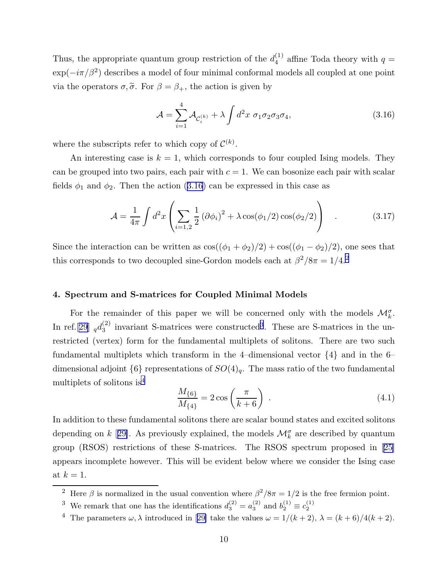<span id="page-10-0"></span>Thus, the appropriate quantum group restriction of the  $d_4^{(1)}$  $_4^{\text{(1)}}$  affine Toda theory with  $q =$  $\exp(-i\pi/\beta^2)$  describes a model of four minimal conformal models all coupled at one point via the operators  $\sigma, \tilde{\sigma}$ . For  $\beta = \beta_+$ , the action is given by

$$
\mathcal{A} = \sum_{i=1}^{4} \mathcal{A}_{\mathcal{C}_i^{(k)}} + \lambda \int d^2 x \ \sigma_1 \sigma_2 \sigma_3 \sigma_4,\tag{3.16}
$$

where the subscripts refer to which copy of  $\mathcal{C}^{(k)}$ .

An interesting case is  $k = 1$ , which corresponds to four coupled Ising models. They can be grouped into two pairs, each pair with  $c = 1$ . We can bosonize each pair with scalar fields  $\phi_1$  and  $\phi_2$ . Then the action (3.16) can be expressed in this case as

$$
\mathcal{A} = \frac{1}{4\pi} \int d^2x \left( \sum_{i=1,2} \frac{1}{2} (\partial \phi_i)^2 + \lambda \cos(\phi_1/2) \cos(\phi_2/2) \right) \quad . \tag{3.17}
$$

Since the interaction can be written as  $\cos((\phi_1 + \phi_2)/2) + \cos((\phi_1 - \phi_2)/2)$ , one sees that this corresponds to two decoupled sine-Gordon models each at  $\beta^2/8\pi = 1/4$ <sup>2</sup>

# 4. Spectrum and S-matrices for Coupled Minimal Models

For the remainder of this paper we will be concerned only with the models  $\mathcal{M}_{k}^{\sigma}$ . In ref.[[29\]](#page-22-0)  $_qd_3^{(2)}$  $_3<sup>(2)</sup>$  invariant S-matrices were constructed<sup>3</sup>. These are S-matrices in the unrestricted (vertex) form for the fundamental multiplets of solitons. There are two such fundamental multiplets which transform in the 4-dimensional vector  $\{4\}$  and in the 6dimensional adjoint  $\{6\}$  representations of  $SO(4)_q$ . The mass ratio of the two fundamental multiplets of solitons is<sup>4</sup>

$$
\frac{M_{\{6\}}}{M_{\{4\}}} = 2\cos\left(\frac{\pi}{k+6}\right) \tag{4.1}
$$

In addition to these fundamental solitons there are scalar bound states and excited solitons depending on  $k$  [[29\]](#page-22-0). As previously explained, the models  $\mathcal{M}_k^{\sigma}$  are described by quantum group (RSOS) restrictions of these S-matrices. The RSOS spectrum proposed in[[25\]](#page-21-0) appears incomplete however. This will be evident below where we consider the Ising case at  $k = 1$ .

<sup>&</sup>lt;sup>2</sup> Here  $\beta$  is normalized in the usual convention where  $\beta^2/8\pi = 1/2$  is the free fermion point.

<sup>&</sup>lt;sup>3</sup> We remark that one has the identifications  $d_3^{(2)} = a_3^{(2)}$  $b_3^{(2)}$  and  $b_2^{(1)} \equiv c_2^{(1)}$ 2

<sup>&</sup>lt;sup>4</sup>The parameters  $\omega$ ,  $\lambda$  introduced in [[29\]](#page-22-0) take the values  $\omega = 1/(k+2)$ ,  $\lambda = (k+6)/4(k+2)$ .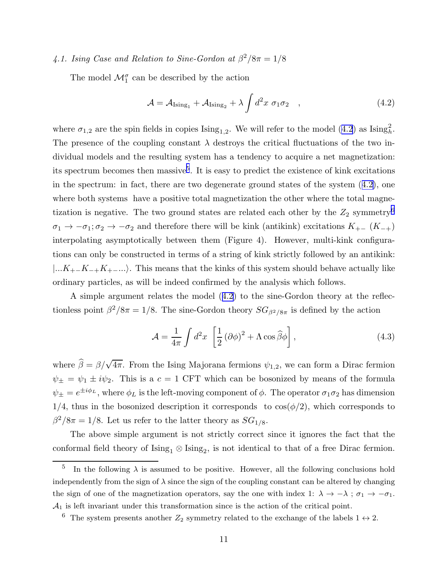# <span id="page-11-0"></span>4.1. Ising Case and Relation to Sine-Gordon at  $\beta^2/8\pi = 1/8$

The model  $\mathcal{M}_1^{\sigma}$  can be described by the action

$$
\mathcal{A} = \mathcal{A}_{\text{Ising}_1} + \mathcal{A}_{\text{Ising}_2} + \lambda \int d^2 x \ \sigma_1 \sigma_2 \quad , \tag{4.2}
$$

where  $\sigma_{1,2}$  are the spin fields in copies  $\text{Ising}_{1,2}$ . We will refer to the model (4.2) as  $\text{Ising}_h^2$ . The presence of the coupling constant  $\lambda$  destroys the critical fluctuations of the two individual models and the resulting system has a tendency to acquire a net magnetization: its spectrum becomes then massive<sup>5</sup>. It is easy to predict the existence of kink excitations in the spectrum: in fact, there are two degenerate ground states of the system (4.2), one where both systems have a positive total magnetization the other where the total magnetization is negative. The two ground states are related each other by the  $Z_2$  symmetry<sup>6</sup>  $\sigma_1 \to -\sigma_1$ ;  $\sigma_2 \to -\sigma_2$  and therefore there will be kink (antikink) excitations  $K_{+-}$  ( $K_{-+}$ ) interpolating asymptotically between them (Figure 4). However, multi-kink configurations can only be constructed in terms of a string of kink strictly followed by an antikink:  $|...K_{+-}K_{-+}K_{+-}...|$ . This means that the kinks of this system should behave actually like ordinary particles, as will be indeed confirmed by the analysis which follows.

A simple argument relates the model (4.2) to the sine-Gordon theory at the reflectionless point  $\beta^2/8\pi = 1/8$ . The sine-Gordon theory  $SG_{\beta^2/8\pi}$  is defined by the action

$$
\mathcal{A} = \frac{1}{4\pi} \int d^2x \, \left[ \frac{1}{2} \left( \partial \phi \right)^2 + \Lambda \cos \hat{\beta} \phi \right],\tag{4.3}
$$

where  $\hat{\beta} = \beta/\sqrt{4\pi}$ . From the Ising Majorana fermions  $\psi_{1,2}$ , we can form a Dirac fermion  $\psi_{\pm} = \psi_1 \pm i \psi_2$ . This is a  $c = 1$  CFT which can be bosonized by means of the formula  $\psi_{\pm} = e^{\pm i\phi_L}$ , where  $\phi_L$  is the left-moving component of  $\phi$ . The operator  $\sigma_1 \sigma_2$  has dimension  $1/4$ , thus in the bosonized description it corresponds to  $\cos(\phi/2)$ , which corresponds to  $\beta^2/8\pi = 1/8$ . Let us refer to the latter theory as  $SG_{1/8}$ .

The above simple argument is not strictly correct since it ignores the fact that the conformal field theory of  $\text{Ising}_1 \otimes \text{Ising}_2$ , is not identical to that of a free Dirac fermion.

<sup>5</sup> In the following  $\lambda$  is assumed to be positive. However, all the following conclusions hold independently from the sign of  $\lambda$  since the sign of the coupling constant can be altered by changing the sign of one of the magnetization operators, say the one with index 1:  $\lambda \to -\lambda$ ;  $\sigma_1 \to -\sigma_1$ .  $A_1$  is left invariant under this transformation since is the action of the critical point.

<sup>&</sup>lt;sup>6</sup> The system presents another  $Z_2$  symmetry related to the exchange of the labels  $1 \leftrightarrow 2$ .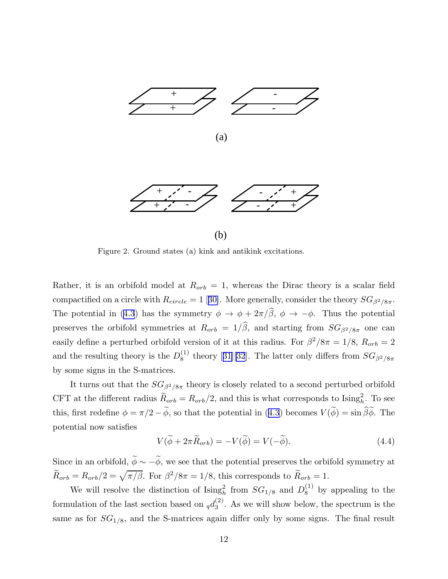

Figure 2. Ground states (a) kink and antikink excitations.

Rather, it is an orbifold model at  $R_{orb} = 1$ , whereas the Dirac theory is a scalar field compactifiedon a circle with  $R_{circle} = 1$  [[30\]](#page-22-0). More generally, consider the theory  $SG_{\beta^2/8\pi}$ . Thepotential in ([4.3](#page-11-0)) has the symmetry  $\phi \to \phi + 2\pi/\hat{\beta}$ ,  $\phi \to -\phi$ . Thus the potential preserves the orbifold symmetries at  $R_{orb} = 1/\hat{\beta}$ , and starting from  $SG_{\beta^2/8\pi}$  one can easily define a perturbed orbifold version of it at this radius. For  $\beta^2/8\pi = 1/8$ ,  $R_{orb} = 2$ and the resulting theory is the  $D_8^{(1)}$  $S_8^{(1)}$ theory [[31\]\[32](#page-22-0)]. The latter only differs from  $SG_{\beta^2/8\pi}$ by some signs in the S-matrices.

It turns out that the  $SG_{\beta^2/8\pi}$  theory is closely related to a second perturbed orbifold CFT at the different radius  $\widetilde{R}_{orb} = R_{orb}/2$ , and this is what corresponds to Ising<sub>h</sub><sup>2</sup>. To see this,first redefine  $\phi = \pi/2 - \widetilde{\phi}$ , so that the potential in ([4.3](#page-11-0)) becomes  $V(\widetilde{\phi}) = \sin \widetilde{\beta} \widetilde{\phi}$ . The potential now satisfies

$$
V(\tilde{\phi} + 2\pi \tilde{R}_{orb}) = -V(\tilde{\phi}) = V(-\tilde{\phi}).
$$
\n(4.4)

Since in an orbifold,  $\widetilde{\phi} \sim -\widetilde{\phi}$ , we see that the potential preserves the orbifold symmetry at  $\widetilde{R}_{orb} = R_{orb}/2 = \sqrt{\pi/\beta}$ . For  $\beta^2/8\pi = 1/8$ , this corresponds to  $\widetilde{R}_{orb} = 1$ .

We will resolve the distinction of  $\text{Ising}_h^2$  from  $SG_{1/8}$  and  $D_8^{(1)}$  by appealing to the formulation of the last section based on  $_{q}d_{3}^{(2)}$  $_3^{(2)}$ . As we will show below, the spectrum is the same as for  $SG<sub>1/8</sub>$ , and the S-matrices again differ only by some signs. The final result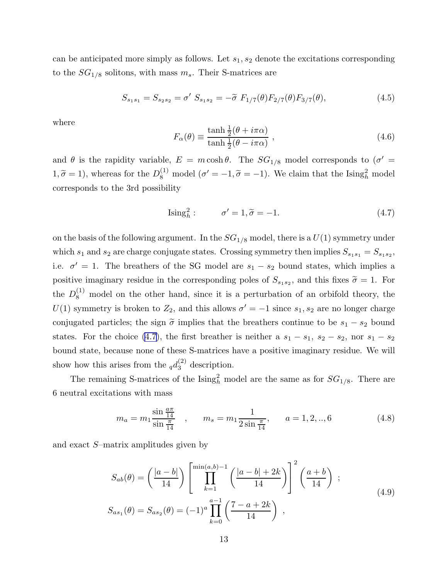<span id="page-13-0"></span>can be anticipated more simply as follows. Let  $s_1, s_2$  denote the excitations corresponding to the  $SG_{1/8}$  solitons, with mass  $m_s$ . Their S-matrices are

$$
S_{s_1s_1} = S_{s_2s_2} = \sigma' S_{s_1s_2} = -\tilde{\sigma} F_{1/7}(\theta) F_{2/7}(\theta) F_{3/7}(\theta), \qquad (4.5)
$$

where

$$
F_{\alpha}(\theta) \equiv \frac{\tanh\frac{1}{2}(\theta + i\pi\alpha)}{\tanh\frac{1}{2}(\theta - i\pi\alpha)} ,
$$
\n(4.6)

and  $\theta$  is the rapidity variable,  $E = m \cosh \theta$ . The  $SG_{1/8}$  model corresponds to  $(\sigma' =$  $1, \tilde{\sigma} = 1$ ), whereas for the  $D_8^{(1)}$  model  $(\sigma' = -1, \tilde{\sigma} = -1)$ . We claim that the Ising<sub>h</sub><sup>2</sup> model corresponds to the 3rd possibility

$$
\text{Ising}_h^2: \qquad \sigma' = 1, \tilde{\sigma} = -1. \tag{4.7}
$$

on the basis of the following argument. In the  $SG_{1/8}$  model, there is a  $U(1)$  symmetry under which  $s_1$  and  $s_2$  are charge conjugate states. Crossing symmetry then implies  $S_{s_1s_1} = S_{s_1s_2}$ , i.e.  $\sigma' = 1$ . The breathers of the SG model are  $s_1 - s_2$  bound states, which implies a positive imaginary residue in the corresponding poles of  $S_{s_1s_2}$ , and this fixes  $\tilde{\sigma} = 1$ . For the  $D_8^{(1)}$  model on the other hand, since it is a perturbation of an orbifold theory, the  $U(1)$  symmetry is broken to  $Z_2$ , and this allows  $\sigma' = -1$  since  $s_1, s_2$  are no longer charge conjugated particles; the sign  $\tilde{\sigma}$  implies that the breathers continue to be  $s_1 - s_2$  bound states. For the choice (4.7), the first breather is neither a  $s_1 - s_1$ ,  $s_2 - s_2$ , nor  $s_1 - s_2$ bound state, because none of these S-matrices have a positive imaginary residue. We will show how this arises from the  $_q d_3^{(2)}$  description.

The remaining S-matrices of the  $\text{Ising}_h^2$  model are the same as for  $SG_{1/8}$ . There are 6 neutral excitations with mass

$$
m_a = m_1 \frac{\sin \frac{a\pi}{14}}{\sin \frac{\pi}{14}} \quad , \qquad m_s = m_1 \frac{1}{2 \sin \frac{\pi}{14}}, \qquad a = 1, 2, ..., 6 \tag{4.8}
$$

and exact S–matrix amplitudes given by

$$
S_{ab}(\theta) = \left(\frac{|a-b|}{14}\right) \left[\prod_{k=1}^{\min(a,b)-1} \left(\frac{|a-b|+2k}{14}\right)\right]^2 \left(\frac{a+b}{14}\right) ;
$$
  
\n
$$
S_{as_1}(\theta) = S_{as_2}(\theta) = (-1)^a \prod_{k=0}^{a-1} \left(\frac{7-a+2k}{14}\right) ,
$$
\n(4.9)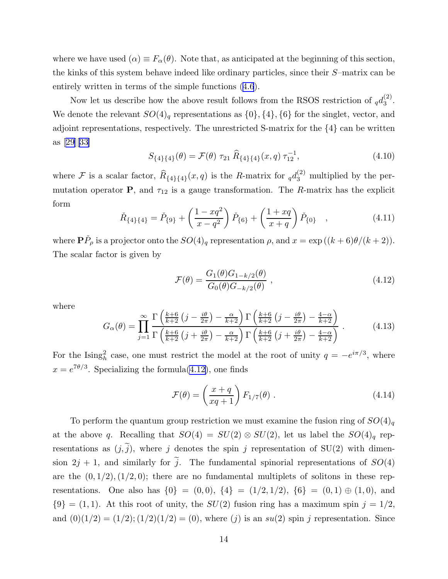<span id="page-14-0"></span>where we have used  $(\alpha) \equiv F_{\alpha}(\theta)$ . Note that, as anticipated at the beginning of this section, the kinks of this system behave indeed like ordinary particles, since their S–matrix can be entirely written in terms of the simple functions([4.6](#page-13-0)).

Now let us describe how the above result follows from the RSOS restriction of  $_q d_3^{(2)}$  $\frac{(2)}{3}$ . We denote the relevant  $SO(4)_q$  representations as  $\{0\}, \{4\}, \{6\}$  for the singlet, vector, and adjoint representations, respectively. The unrestricted S-matrix for the {4} can be written as[[29](#page-22-0)][[33\]](#page-22-0)

$$
S_{\{4\}\{4\}}(\theta) = \mathcal{F}(\theta) \tau_{21} \widehat{R}_{\{4\}\{4\}}(x,q) \tau_{12}^{-1}, \tag{4.10}
$$

where F is a scalar factor,  $\widehat{R}_{\{4\}\{4\}}(x,q)$  is the R-matrix for  $_qd_3^{(2)}$  multiplied by the permutation operator **P**, and  $\tau_{12}$  is a gauge transformation. The R-matrix has the explicit form

$$
\check{R}_{\{4\}\{4\}} = \check{P}_{\{9\}} + \left(\frac{1 - xq^2}{x - q^2}\right)\check{P}_{\{6\}} + \left(\frac{1 + xq}{x + q}\right)\check{P}_{\{0\}} \quad , \tag{4.11}
$$

where  $\mathbf{P}\check{P}_{\rho}$  is a projector onto the  $SO(4)_{q}$  representation  $\rho$ , and  $x = \exp((k+6)\theta/(k+2)).$ The scalar factor is given by

$$
\mathcal{F}(\theta) = \frac{G_1(\theta)G_{1-k/2}(\theta)}{G_0(\theta)G_{-k/2}(\theta)} ,
$$
\n(4.12)

where

$$
G_{\alpha}(\theta) = \prod_{j=1}^{\infty} \frac{\Gamma\left(\frac{k+6}{k+2}\left(j-\frac{i\theta}{2\pi}\right)-\frac{\alpha}{k+2}\right) \Gamma\left(\frac{k+6}{k+2}\left(j-\frac{i\theta}{2\pi}\right)-\frac{4-\alpha}{k+2}\right)}{\Gamma\left(\frac{k+6}{k+2}\left(j+\frac{i\theta}{2\pi}\right)-\frac{\alpha}{k+2}\right) \Gamma\left(\frac{k+6}{k+2}\left(j+\frac{i\theta}{2\pi}\right)-\frac{4-\alpha}{k+2}\right)}.
$$
(4.13)

For the Ising<sub>h</sub><sup>2</sup> case, one must restrict the model at the root of unity  $q = -e^{i\pi/3}$ , where  $x = e^{7\theta/3}$ . Specializing the formula(4.12), one finds

$$
\mathcal{F}(\theta) = \left(\frac{x+q}{xq+1}\right) F_{1/7}(\theta) \tag{4.14}
$$

To perform the quantum group restriction we must examine the fusion ring of  $SO(4)_q$ at the above q. Recalling that  $SO(4) = SU(2) \otimes SU(2)$ , let us label the  $SO(4)<sub>q</sub>$  representations as  $(j, \tilde{j})$ , where j denotes the spin j representation of SU(2) with dimension  $2j + 1$ , and similarly for  $\tilde{j}$ . The fundamental spinorial representations of  $SO(4)$ are the  $(0, 1/2), (1/2, 0)$ ; there are no fundamental multiplets of solitons in these representations. One also has  $\{0\} = (0,0), \{4\} = (1/2,1/2), \{6\} = (0,1) \oplus (1,0),$  and  ${9} = (1, 1)$ . At this root of unity, the  $SU(2)$  fusion ring has a maximum spin  $j = 1/2$ , and  $(0)(1/2) = (1/2); (1/2)(1/2) = (0)$ , where  $(j)$  is an  $su(2)$  spin j representation. Since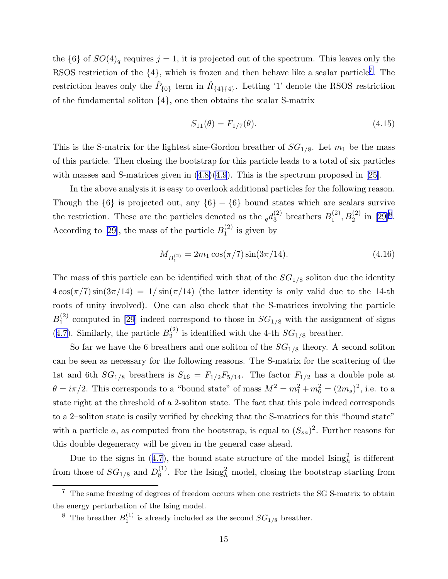the  $\{6\}$  of  $SO(4)_q$  requires  $j = 1$ , it is projected out of the spectrum. This leaves only the RSOS restriction of the  $\{4\}$ , which is frozen and then behave like a scalar particle<sup>7</sup>. The restriction leaves only the  $\check{P}_{\{0\}}$  term in  $\check{R}_{\{4\}\{4\}}$ . Letting '1' denote the RSOS restriction of the fundamental soliton {4}, one then obtains the scalar S-matrix

$$
S_{11}(\theta) = F_{1/7}(\theta). \tag{4.15}
$$

This is the S-matrix for the lightest sine-Gordon breather of  $SG<sub>1/8</sub>$ . Let  $m<sub>1</sub>$  be the mass of this particle. Then closing the bootstrap for this particle leads to a total of six particles withmasses and S-matrices given in  $(4.8)(4.9)$  $(4.8)(4.9)$  $(4.8)(4.9)$ . This is the spectrum proposed in [[25\]](#page-21-0).

In the above analysis it is easy to overlook additional particles for the following reason. Though the  $\{6\}$  is projected out, any  $\{6\}$  –  $\{6\}$  bound states which are scalars survive the restriction. These are the particles denoted as the  $_q d_3^{(2)}$  breathers  $B_1^{(2)}$  $_1^{(2)}, B_2^{(2)}$  in [\[29](#page-22-0)]<sup>8</sup>. Accordingto [[29\]](#page-22-0), the mass of the particle  $B_1^{(2)}$  $j_1^{(2)}$  is given by

$$
M_{B_1^{(2)}} = 2m_1 \cos(\pi/7) \sin(3\pi/14). \tag{4.16}
$$

The mass of this particle can be identified with that of the  $SG<sub>1/8</sub>$  soliton due the identity  $4\cos(\pi/7)\sin(3\pi/14) = 1/\sin(\pi/14)$  (the latter identity is only valid due to the 14-th roots of unity involved). One can also check that the S-matrices involving the particle  $B_1^{(2)}$  $1^{(2)}$  computed in [\[29](#page-22-0)] indeed correspond to those in  $SG_{1/8}$  with the assignment of signs ([4.7](#page-13-0)). Similarly, the particle  $B_2^{(2)}$  $^{(2)}_{2}$  is identified with the 4-th  $SG_{1/8}$  breather.

So far we have the 6 breathers and one soliton of the  $SG_{1/8}$  theory. A second soliton can be seen as necessary for the following reasons. The S-matrix for the scattering of the 1st and 6th  $SG_{1/8}$  breathers is  $S_{16} = F_{1/2}F_{5/14}$ . The factor  $F_{1/2}$  has a double pole at  $\theta = i\pi/2$ . This corresponds to a "bound state" of mass  $M^2 = m_1^2 + m_6^2 = (2m_s)^2$ , i.e. to a state right at the threshold of a 2-soliton state. The fact that this pole indeed corresponds to a 2–soliton state is easily verified by checking that the S-matrices for this "bound state" with a particle a, as computed from the bootstrap, is equal to  $(S_{sa})^2$ . Further reasons for this double degeneracy will be given in the general case ahead.

Dueto the signs in ([4.7\)](#page-13-0), the bound state structure of the model  $\text{Ising}_h^2$  is different from those of  $SG_{1/8}$  and  $D_8^{(1)}$  $^{(1)}_8$ . For the Ising<sub>h</sub> model, closing the bootstrap starting from

 $7$  The same freezing of degrees of freedom occurs when one restricts the SG S-matrix to obtain the energy perturbation of the Ising model.

<sup>&</sup>lt;sup>8</sup> The breather  $B_1^{(1)}$  $I_1^{(1)}$  is already included as the second  $SG_{1/8}$  breather.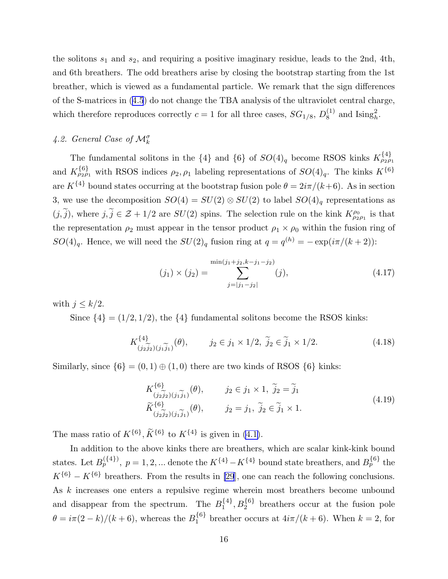the solitons  $s_1$  and  $s_2$ , and requiring a positive imaginary residue, leads to the 2nd, 4th, and 6th breathers. The odd breathers arise by closing the bootstrap starting from the 1st breather, which is viewed as a fundamental particle. We remark that the sign differences of the S-matrices in [\(4.5](#page-13-0)) do not change the TBA analysis of the ultraviolet central charge, which therefore reproduces correctly  $c = 1$  for all three cases,  $SG_{1/8}, D_8^{(1)}$  $_8^{(1)}$  and  $\text{Ising}_h^2$ .

# 4.2. General Case of  $\mathcal{M}^{\sigma}_k$

The fundamental solitons in the  $\{4\}$  and  $\{6\}$  of  $SO(4)_q$  become RSOS kinks  $K_{\rho_2\rho_1}^{\{4\}}$ and  $K_{\rho_2\rho_1}^{\{6\}}$  with RSOS indices  $\rho_2, \rho_1$  labeling representations of  $SO(4)_q$ . The kinks  $K^{\{6\}}$ are  $K^{\{4\}}$  bound states occurring at the bootstrap fusion pole  $\theta = 2i\pi/(k+6)$ . As in section 3, we use the decomposition  $SO(4) = SU(2) \otimes SU(2)$  to label  $SO(4)<sub>q</sub>$  representations as  $(j, \tilde{j})$ , where  $j, \tilde{j} \in \mathcal{Z} + 1/2$  are  $SU(2)$  spins. The selection rule on the kink  $K_{\rho_2 \rho_1}^{\rho_0}$  is that the representation  $\rho_2$  must appear in the tensor product  $\rho_1 \times \rho_0$  within the fusion ring of  $SO(4)_q$ . Hence, we will need the  $SU(2)_q$  fusion ring at  $q = q^{(h)} = -\exp(i\pi/(k+2))$ :

$$
(j_1) \times (j_2) = \sum_{j=|j_1-j_2|}^{\min(j_1+j_2,k-j_1-j_2)} (j), \tag{4.17}
$$

with  $j \leq k/2$ .

Since  $\{4\} = (1/2, 1/2)$ , the  $\{4\}$  fundamental solitons become the RSOS kinks:

$$
K^{\{4\}}_{(j_2\widetilde{j}_2)(j_1\widetilde{j}_1)}(\theta), \qquad j_2 \in j_1 \times 1/2, \ \widetilde{j}_2 \in \widetilde{j}_1 \times 1/2. \tag{4.18}
$$

Similarly, since  $\{6\} = (0, 1) \oplus (1, 0)$  there are two kinds of RSOS  $\{6\}$  kinks:

$$
K_{(j_2\widetilde{j}_2)(j_1\widetilde{j}_1)}^{(6)}(\theta), \qquad j_2 \in j_1 \times 1, \ \widetilde{j}_2 = \widetilde{j}_1
$$
  

$$
\widetilde{K}_{(j_2\widetilde{j}_2)(j_1\widetilde{j}_1)}^{(6)}(\theta), \qquad j_2 = j_1, \ \widetilde{j}_2 \in \widetilde{j}_1 \times 1.
$$
 (4.19)

The mass ratio of  $K^{\{6\}}$ ,  $\tilde{K}^{\{6\}}$  to  $K^{\{4\}}$  is given in [\(4.1\)](#page-10-0).

In addition to the above kinks there are breathers, which are scalar kink-kink bound states. Let  $B_p^{\{4\}}$ ,  $p = 1, 2, ...$  denote the  $K^{\{4\}} - K^{\{4\}}$  bound state breathers, and  $B_p^{\{6\}}$  the  $K^{\{6\}} - K^{\{6\}}$  breathers. From the results in [\[29](#page-22-0)], one can reach the following conclusions. As k increases one enters a repulsive regime wherein most breathers become unbound and disappear from the spectrum. The  $B_1^{\{4\}}$ ,  $B_2^{\{6\}}$  breathers occur at the fusion pole  $\theta = i\pi(2-k)/(k+6)$ , whereas the  $B_1^{\{6\}}$  breather occurs at  $4i\pi/(k+6)$ . When  $k=2$ , for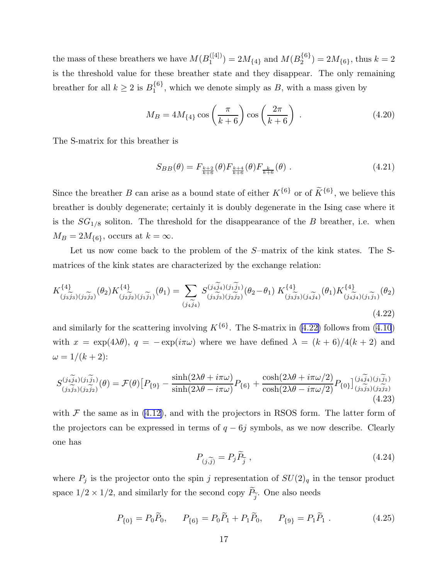<span id="page-17-0"></span>the mass of these breathers we have  $M(B_1^{([4])})$  $1^{([4])}) = 2M_{\{4\}}$  and  $M(B_2^{\{6\}}) = 2M_{\{6\}}$ , thus  $k = 2$ is the threshold value for these breather state and they disappear. The only remaining breather for all  $k \geq 2$  is  $B_1^{\{6\}}$ , which we denote simply as B, with a mass given by

$$
M_B = 4M_{\{4\}} \cos\left(\frac{\pi}{k+6}\right) \cos\left(\frac{2\pi}{k+6}\right) \tag{4.20}
$$

The S-matrix for this breather is

$$
S_{BB}(\theta) = F_{\frac{k+2}{k+6}}(\theta) F_{\frac{k+4}{k+6}}(\theta) F_{\frac{k}{k+6}}(\theta) .
$$
 (4.21)

Since the breather B can arise as a bound state of either  $K^{\{6\}}$  or of  $\tilde{K}^{\{6\}}$ , we believe this breather is doubly degenerate; certainly it is doubly degenerate in the Ising case where it is the  $SG_{1/8}$  soliton. The threshold for the disappearance of the B breather, i.e. when  $M_B = 2M_{\{6\}}$ , occurs at  $k = \infty$ .

Let us now come back to the problem of the S–matrix of the kink states. The Smatrices of the kink states are characterized by the exchange relation:

$$
K_{(j_3\widetilde{j}_3)(j_2\widetilde{j}_2)}^{44}(\theta_2)K_{(j_2\widetilde{j}_2)(j_1\widetilde{j}_1)}^{44}(\theta_1) = \sum_{(j_4\widetilde{j}_4)} S_{(j_3\widetilde{j}_3)(j_2\widetilde{j}_2)}^{(j_4\widetilde{j}_4)(j_1\widetilde{j}_1)}(\theta_2 - \theta_1) K_{(j_3\widetilde{j}_3)(j_4\widetilde{j}_4)}^{44}(\theta_1) K_{(j_4\widetilde{j}_4)(j_1\widetilde{j}_1)}^{44}(\theta_2)
$$
\n(4.22)

and similarly for the scattering involving  $K^{\{6\}}$ . The S-matrix in (4.22) follows from [\(4.10](#page-14-0)) with  $x = \exp(4\lambda\theta)$ ,  $q = -\exp(i\pi\omega)$  where we have defined  $\lambda = (k+6)/4(k+2)$  and  $\omega = 1/(k+2)$ :

$$
S_{(j_3\widetilde{j}_3)(j_2\widetilde{j}_2)}^{(j_4\widetilde{j}_4)(j_1\widetilde{j}_1)}(\theta) = \mathcal{F}(\theta)\left[P_{\{9\}} - \frac{\sinh(2\lambda\theta + i\pi\omega)}{\sinh(2\lambda\theta - i\pi\omega)}P_{\{6\}} + \frac{\cosh(2\lambda\theta + i\pi\omega/2)}{\cosh(2\lambda\theta - i\pi\omega/2)}P_{\{0\}}\right]_{(j_3\widetilde{j}_3)(j_2\widetilde{j}_2)}^{(j_4\widetilde{j}_4)(j_1\widetilde{j}_1)}(4.23)
$$

with  $\mathcal F$  the same as in [\(4.12\)](#page-14-0), and with the projectors in RSOS form. The latter form of the projectors can be expressed in terms of  $q - 6j$  symbols, as we now describe. Clearly one has

$$
P_{(j,\widetilde{j})} = P_j \widetilde{P}_{\widetilde{j}} \,, \tag{4.24}
$$

where  $P_j$  is the projector onto the spin j representation of  $SU(2)_q$  in the tensor product space  $1/2 \times 1/2$ , and similarly for the second copy  $P_{\widetilde{j}}$ . One also needs

$$
P_{\{0\}} = P_0 \tilde{P}_0, \qquad P_{\{6\}} = P_0 \tilde{P}_1 + P_1 \tilde{P}_0, \qquad P_{\{9\}} = P_1 \tilde{P}_1 \ . \tag{4.25}
$$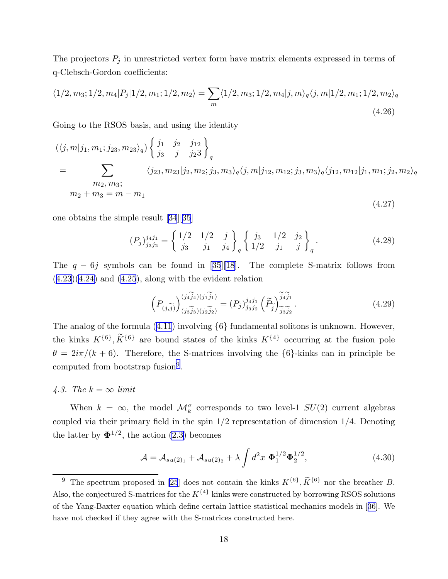The projectors  $P_j$  in unrestricted vertex form have matrix elements expressed in terms of q-Clebsch-Gordon coefficients:

$$
\langle 1/2, m_3; 1/2, m_4 | P_j | 1/2, m_1; 1/2, m_2 \rangle = \sum_m \langle 1/2, m_3; 1/2, m_4 | j, m \rangle_q \langle j, m | 1/2, m_1; 1/2, m_2 \rangle_q
$$
\n(4.26)

Going to the RSOS basis, and using the identity

$$
(\langle j, m | j_1, m_1; j_{23}, m_{23} \rangle_q) \left\{ \begin{aligned} j_1 & j_2 & j_{12} \\ j_3 & j & j_2 3 \end{aligned} \right\}_q
$$
  
= 
$$
\sum_{\substack{m_2, m_3; \\ m_2 + m_3 = m - m_1}} \langle j_{23}, m_{23} | j_2, m_2; j_3, m_3 \rangle_q \langle j, m | j_{12}, m_{12}; j_3, m_3 \rangle_q \langle j_{12}, m_{12} | j_1, m_1; j_2, m_2 \rangle_q
$$

one obtains the simple result [\[34](#page-22-0)][\[35](#page-22-0)]

$$
(P_j)_{j_3j_2}^{j_4j_1} = \begin{cases} 1/2 & 1/2 & j \\ j_3 & j_1 & j_4 \end{cases} \begin{cases} j_3 & 1/2 & j_2 \\ 1/2 & j_1 & j \end{cases} \begin{cases} (4.28)
$$

(4.27)

The  $q - 6j$  symbols can be found in [\[35](#page-22-0)][[18\]](#page-21-0). The complete S-matrix follows from  $(4.23)(4.24)$  $(4.23)(4.24)$  $(4.23)(4.24)$  $(4.23)(4.24)$ and  $(4.25)$  $(4.25)$  $(4.25)$ , along with the evident relation

$$
\left(P_{(j,\widetilde{j})}\right)^{(j,\widetilde{j}_{1})(j,\widetilde{j}_{1})}_{(j,\widetilde{j}_{2})(j,\widetilde{j}_{2})} = (P_{j})^{j_{4}j_{1}}_{j_{3}j_{2}} \left(\widetilde{P}_{\widetilde{j}}\right)^{\widetilde{j}_{4}\widetilde{j}_{1}}_{\widetilde{j}_{3}\widetilde{j}_{2}}.
$$
\n(4.29)

The analog of the formula([4.11](#page-14-0)) involving {6} fundamental solitons is unknown. However, the kinks  $K^{\{6\}}$ ,  $K^{\{6\}}$  are bound states of the kinks  $K^{\{4\}}$  occurring at the fusion pole  $\theta = 2i\pi/(k+6)$ . Therefore, the S-matrices involving the  $\{6\}$ -kinks can in principle be computed from bootstrap fusion<sup>9</sup>.

# 4.3. The  $k = \infty$  limit

When  $k = \infty$ , the model  $\mathcal{M}_k^{\sigma}$  corresponds to two level-1  $SU(2)$  current algebras coupled via their primary field in the spin  $1/2$  representation of dimension  $1/4$ . Denoting the latter by  $\mathbf{\Phi}^{1/2}$ , the action [\(2.3\)](#page-3-0) becomes

$$
\mathcal{A} = \mathcal{A}_{su(2)_1} + \mathcal{A}_{su(2)_2} + \lambda \int d^2x \, \Phi_1^{1/2} \Phi_2^{1/2}, \tag{4.30}
$$

<sup>&</sup>lt;sup>9</sup> The spectrum proposed in [\[25](#page-21-0)] does not contain the kinks  $K^{\{6\}}$ ,  $\widetilde{K}^{\{6\}}$  nor the breather *B*. Also, the conjectured S-matrices for the  $K^{\{4\}}$  kinks were constructed by borrowing RSOS solutions of the Yang-Baxter equation which define certain lattice statistical mechanics models in[[36\]](#page-22-0). We have not checked if they agree with the S-matrices constructed here.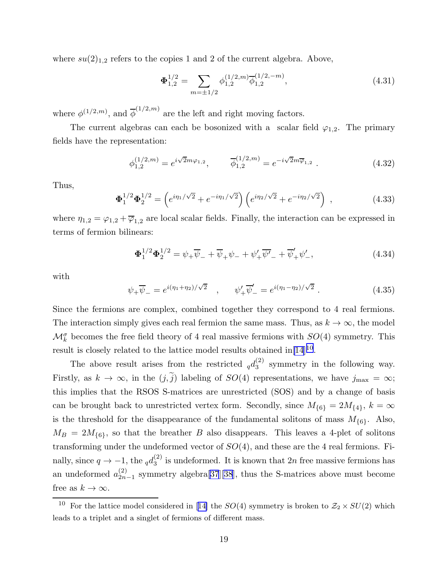where  $su(2)_{1,2}$  refers to the copies 1 and 2 of the current algebra. Above,

$$
\Phi_{1,2}^{1/2} = \sum_{m=\pm 1/2} \phi_{1,2}^{(1/2,m)} \overline{\phi}_{1,2}^{(1/2,-m)},\tag{4.31}
$$

where  $\phi^{(1/2,m)}$ , and  $\overline{\phi}^{(1/2,m)}$  are the left and right moving factors.

The current algebras can each be bosonized with a scalar field  $\varphi_{1,2}$ . The primary fields have the representation:

$$
\phi_{1,2}^{(1/2,m)} = e^{i\sqrt{2}m\varphi_{1,2}}, \qquad \overline{\phi}_{1,2}^{(1/2,m)} = e^{-i\sqrt{2}m\overline{\varphi}_{1,2}}.
$$
\n(4.32)

Thus,

$$
\Phi_1^{1/2} \Phi_2^{1/2} = \left( e^{i\eta_1/\sqrt{2}} + e^{-i\eta_1/\sqrt{2}} \right) \left( e^{i\eta_2/\sqrt{2}} + e^{-i\eta_2/\sqrt{2}} \right) , \qquad (4.33)
$$

where  $\eta_{1,2} = \varphi_{1,2} + \overline{\varphi}_{1,2}$  are local scalar fields. Finally, the interaction can be expressed in terms of fermion bilinears:

$$
\Phi_1^{1/2} \Phi_2^{1/2} = \psi_+ \overline{\psi}_- + \overline{\psi}_+ \psi_- + \psi'_+ \overline{\psi'}_- + \overline{\psi}'_+ \psi'_-, \tag{4.34}
$$

with

$$
\psi_+ \overline{\psi}_- = e^{i(\eta_1 + \eta_2)/\sqrt{2}} \quad , \qquad \psi'_+ \overline{\psi}'_- = e^{i(\eta_1 - \eta_2)/\sqrt{2}} \ . \tag{4.35}
$$

Since the fermions are complex, combined together they correspond to 4 real fermions. The interaction simply gives each real fermion the same mass. Thus, as  $k \to \infty$ , the model  $\mathcal{M}_{k}^{\sigma}$  becomes the free field theory of 4 real massive fermions with  $SO(4)$  symmetry. This result is closely related to the lattice model results obtained  $\text{in}[14]^{10}$  $\text{in}[14]^{10}$  $\text{in}[14]^{10}$ .

The above result arises from the restricted  $_q d_3^{(2)}$  $_3^{(2)}$  symmetry in the following way. Firstly, as  $k \to \infty$ , in the  $(j, \tilde{j})$  labeling of  $SO(4)$  representations, we have  $j_{\text{max}} = \infty$ ; this implies that the RSOS S-matrices are unrestricted (SOS) and by a change of basis can be brought back to unrestricted vertex form. Secondly, since  $M_{\{6\}} = 2M_{\{4\}}$ ,  $k = \infty$ is the threshold for the disappearance of the fundamental solitons of mass  $M_{\{6\}}$ . Also,  $M_B = 2M_{6}$ , so that the breather B also disappears. This leaves a 4-plet of solitons transforming under the undeformed vector of  $SO(4)$ , and these are the 4 real fermions. Finally, since  $q \to -1$ , the  $_q d_3^{(2)}$  $\binom{1}{3}$  is undeformed. It is known that  $2n$  free massive fermions has an undeformed  $a_{2n}^{(2)}$  $\binom{2}{2n-1}$  symmetry algebra[\[37](#page-22-0)][\[38](#page-22-0)], thus the S-matrices above must become free as  $k \to \infty$ .

<sup>&</sup>lt;sup>10</sup>For the lattice model considered in [[14\]](#page-21-0) the  $SO(4)$  symmetry is broken to  $\mathcal{Z}_2 \times SU(2)$  which leads to a triplet and a singlet of fermions of different mass.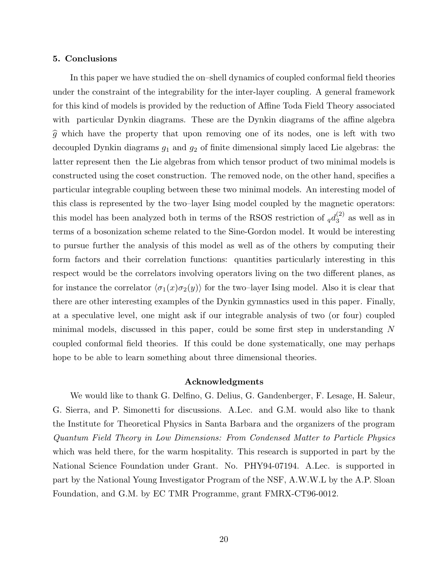### 5. Conclusions

In this paper we have studied the on–shell dynamics of coupled conformal field theories under the constraint of the integrability for the inter-layer coupling. A general framework for this kind of models is provided by the reduction of Affine Toda Field Theory associated with particular Dynkin diagrams. These are the Dynkin diagrams of the affine algebra  $\hat{g}$  which have the property that upon removing one of its nodes, one is left with two decoupled Dynkin diagrams  $g_1$  and  $g_2$  of finite dimensional simply laced Lie algebras: the latter represent then the Lie algebras from which tensor product of two minimal models is constructed using the coset construction. The removed node, on the other hand, specifies a particular integrable coupling between these two minimal models. An interesting model of this class is represented by the two–layer Ising model coupled by the magnetic operators: this model has been analyzed both in terms of the RSOS restriction of  $_q d_3^{(2)}$  $3^{(2)}$  as well as in terms of a bosonization scheme related to the Sine-Gordon model. It would be interesting to pursue further the analysis of this model as well as of the others by computing their form factors and their correlation functions: quantities particularly interesting in this respect would be the correlators involving operators living on the two different planes, as for instance the correlator  $\langle \sigma_1(x)\sigma_2(y)\rangle$  for the two–layer Ising model. Also it is clear that there are other interesting examples of the Dynkin gymnastics used in this paper. Finally, at a speculative level, one might ask if our integrable analysis of two (or four) coupled minimal models, discussed in this paper, could be some first step in understanding N coupled conformal field theories. If this could be done systematically, one may perhaps hope to be able to learn something about three dimensional theories.

### Acknowledgments

We would like to thank G. Delfino, G. Delius, G. Gandenberger, F. Lesage, H. Saleur, G. Sierra, and P. Simonetti for discussions. A.Lec. and G.M. would also like to thank the Institute for Theoretical Physics in Santa Barbara and the organizers of the program Quantum Field Theory in Low Dimensions: From Condensed Matter to Particle Physics which was held there, for the warm hospitality. This research is supported in part by the National Science Foundation under Grant. No. PHY94-07194. A.Lec. is supported in part by the National Young Investigator Program of the NSF, A.W.W.L by the A.P. Sloan Foundation, and G.M. by EC TMR Programme, grant FMRX-CT96-0012.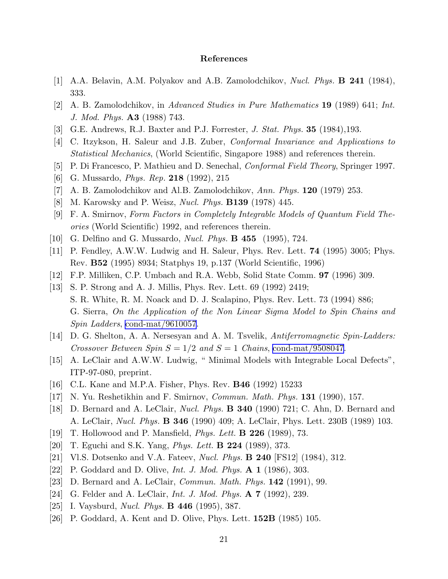## References

- <span id="page-21-0"></span>[1] A.A. Belavin, A.M. Polyakov and A.B. Zamolodchikov, Nucl. Phys. B 241 (1984), 333.
- [2] A. B. Zamolodchikov, in Advanced Studies in Pure Mathematics 19 (1989) 641; Int. J. Mod. Phys. A3 (1988) 743.
- [3] G.E. Andrews, R.J. Baxter and P.J. Forrester, J. Stat. Phys. 35 (1984),193.
- [4] C. Itzykson, H. Saleur and J.B. Zuber, Conformal Invariance and Applications to Statistical Mechanics, (World Scientific, Singapore 1988) and references therein.
- [5] P. Di Francesco, P. Mathieu and D. Senechal, *Conformal Field Theory*, Springer 1997.
- [6] G. Mussardo, *Phys. Rep.* **218** (1992), 215
- [7] A. B. Zamolodchikov and Al.B. Zamolodchikov, Ann. Phys.  $120$  (1979) 253.
- [8] M. Karowsky and P. Weisz, Nucl. Phys. B139 (1978) 445.
- [9] F. A. Smirnov, Form Factors in Completely Integrable Models of Quantum Field Theories (World Scientific) 1992, and references therein.
- [10] G. Delfino and G. Mussardo, *Nucl. Phys.* **B 455** (1995), 724.
- [11] P. Fendley, A.W.W. Ludwig and H. Saleur, Phys. Rev. Lett. 74 (1995) 3005; Phys. Rev. B52 (1995) 8934; Statphys 19, p.137 (World Scientific, 1996)
- [12] F.P. Milliken, C.P. Umbach and R.A. Webb, Solid State Comm. 97 (1996) 309.
- [13] S. P. Strong and A. J. Millis, Phys. Rev. Lett. 69 (1992) 2419; S. R. White, R. M. Noack and D. J. Scalapino, Phys. Rev. Lett. 73 (1994) 886; G. Sierra, On the Application of the Non Linear Sigma Model to Spin Chains and Spin Ladders, [cond-mat/9610057](http://arxiv.org/abs/cond-mat/9610057).
- [14] D. G. Shelton, A. A. Nersesyan and A. M. Tsvelik, Antiferromagnetic Spin-Ladders: Crossover Between Spin  $S = 1/2$  and  $S = 1$  Chains, [cond-mat/9508047.](http://arxiv.org/abs/cond-mat/9508047)
- [15] A. LeClair and A.W.W. Ludwig, " Minimal Models with Integrable Local Defects", ITP-97-080, preprint.
- [16] C.L. Kane and M.P.A. Fisher, Phys. Rev. B46 (1992) 15233
- [17] N. Yu. Reshetikhin and F. Smirnov, *Commun. Math. Phys.* **131** (1990), 157.
- [18] D. Bernard and A. LeClair, Nucl. Phys. B 340 (1990) 721; C. Ahn, D. Bernard and A. LeClair, Nucl. Phys. B 346 (1990) 409; A. LeClair, Phys. Lett. 230B (1989) 103.
- [19] T. Hollowood and P. Mansfield, Phys. Lett. B 226 (1989), 73.
- [20] T. Eguchi and S.K. Yang, *Phys. Lett.* **B 224** (1989), 373.
- [21] Vl.S. Dotsenko and V.A. Fateev, *Nucl. Phys.* **B 240** [FS12] (1984), 312.
- [22] P. Goddard and D. Olive, *Int. J. Mod. Phys.* **A 1** (1986), 303.
- [23] D. Bernard and A. LeClair, *Commun. Math. Phys.* **142** (1991), 99.
- [24] G. Felder and A. LeClair, *Int. J. Mod. Phys.* **A 7** (1992), 239.
- [25] I. Vaysburd, *Nucl. Phys.* **B 446** (1995), 387.
- [26] P. Goddard, A. Kent and D. Olive, Phys. Lett. 152B (1985) 105.